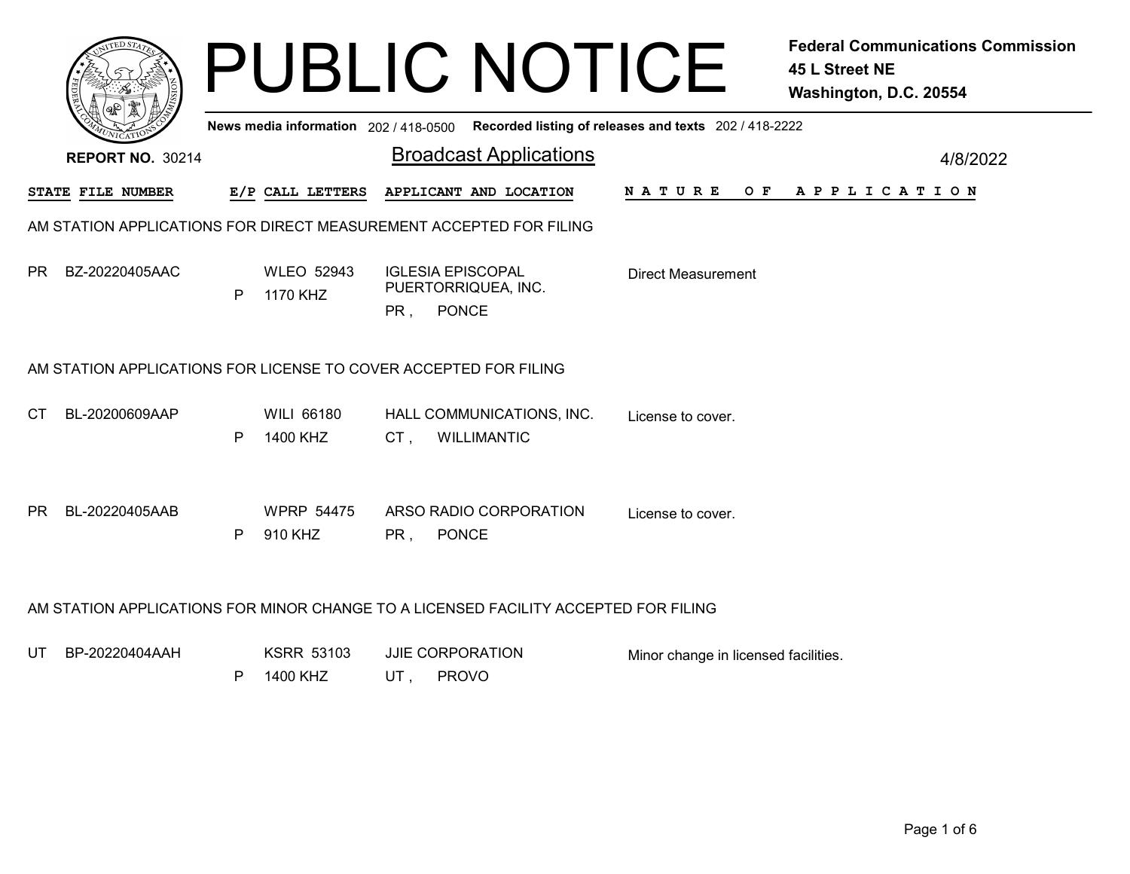| News media information 202 / 418-0500 Recorded listing of releases and texts 202 / 418-2222                                                   | 4/8/2022       |  |  |
|-----------------------------------------------------------------------------------------------------------------------------------------------|----------------|--|--|
|                                                                                                                                               |                |  |  |
| <b>Broadcast Applications</b><br><b>REPORT NO. 30214</b>                                                                                      |                |  |  |
| E/P CALL LETTERS<br>APPLICANT AND LOCATION<br>N A T U R E<br>STATE FILE NUMBER                                                                | OF APPLICATION |  |  |
| AM STATION APPLICATIONS FOR DIRECT MEASUREMENT ACCEPTED FOR FILING                                                                            |                |  |  |
| BZ-20220405AAC<br><b>WLEO 52943</b><br><b>IGLESIA EPISCOPAL</b><br>PR.<br><b>Direct Measurement</b><br>PUERTORRIQUEA, INC.<br>1170 KHZ<br>P   |                |  |  |
| PR, PONCE                                                                                                                                     |                |  |  |
| AM STATION APPLICATIONS FOR LICENSE TO COVER ACCEPTED FOR FILING                                                                              |                |  |  |
| BL-20200609AAP<br><b>WILI 66180</b><br>CT.<br>HALL COMMUNICATIONS, INC.<br>License to cover.<br>1400 KHZ<br>P<br>CT,<br><b>WILLIMANTIC</b>    |                |  |  |
|                                                                                                                                               |                |  |  |
| BL-20220405AAB<br><b>PR</b><br><b>WPRP 54475</b><br>ARSO RADIO CORPORATION<br>License to cover.                                               |                |  |  |
| 910 KHZ<br>P<br>PR.<br><b>PONCE</b>                                                                                                           |                |  |  |
| AM STATION APPLICATIONS FOR MINOR CHANGE TO A LICENSED FACILITY ACCEPTED FOR FILING                                                           |                |  |  |
| BP-20220404AAH<br><b>KSRR 53103</b><br>JJIE CORPORATION<br>UT<br>Minor change in licensed facilities.<br><b>PROVO</b><br>1400 KHZ<br>UT,<br>P |                |  |  |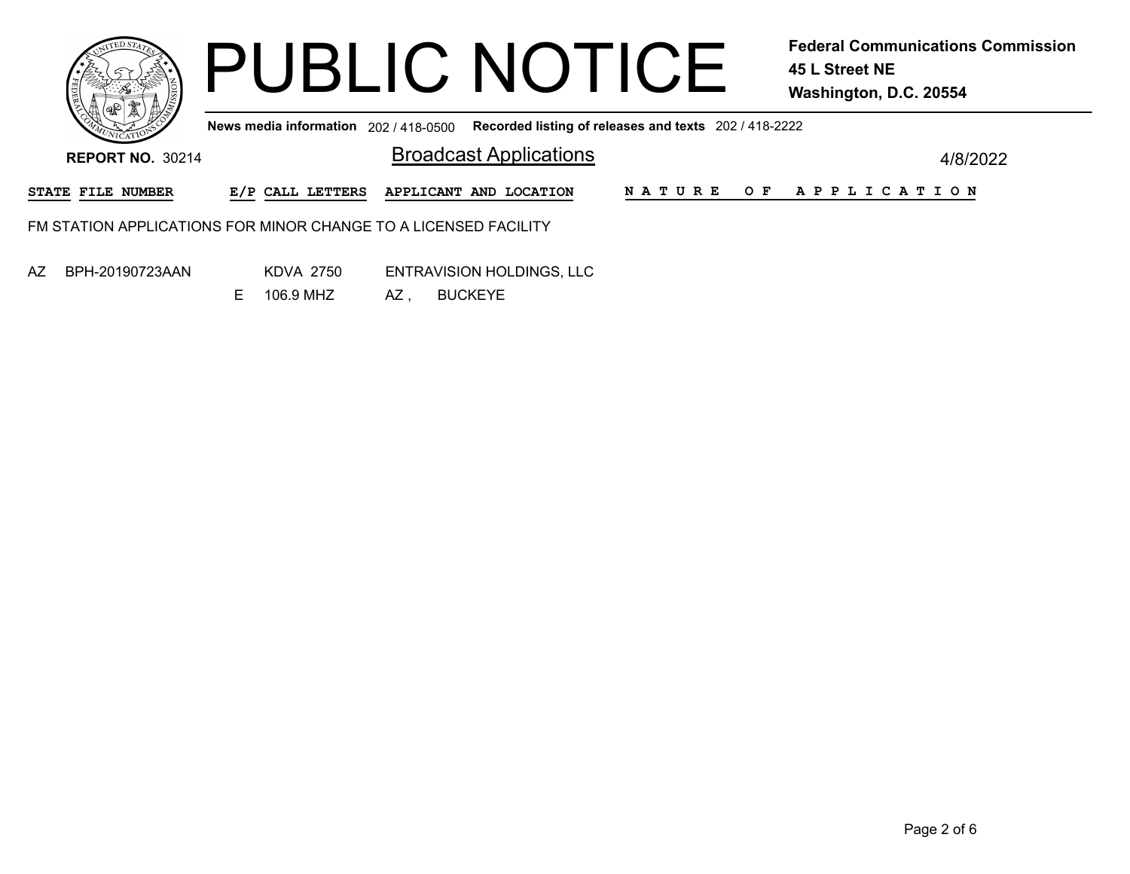|                          |                                       | <b>PUBLIC NOTICE</b>                                            |                                                       | <b>Federal Communications Commission</b><br>45 L Street NE<br>Washington, D.C. 20554 |
|--------------------------|---------------------------------------|-----------------------------------------------------------------|-------------------------------------------------------|--------------------------------------------------------------------------------------|
|                          | News media information 202 / 418-0500 |                                                                 | Recorded listing of releases and texts 202 / 418-2222 |                                                                                      |
| <b>REPORT NO. 30214</b>  |                                       | <b>Broadcast Applications</b>                                   |                                                       | 4/8/2022                                                                             |
| <b>STATE FILE NUMBER</b> | E/P CALL LETTERS                      | APPLICANT AND LOCATION                                          | <b>NATURE</b><br>OF                                   | A P P L I C A T I O N                                                                |
|                          |                                       | FM STATION APPLICATIONS FOR MINOR CHANGE TO A LICENSED FACILITY |                                                       |                                                                                      |
| AZ<br>BPH-20190723AAN    | KDVA 2750                             | <b>ENTRAVISION HOLDINGS, LLC</b>                                |                                                       |                                                                                      |

AZ , BUCKEYE E 106.9 MHZ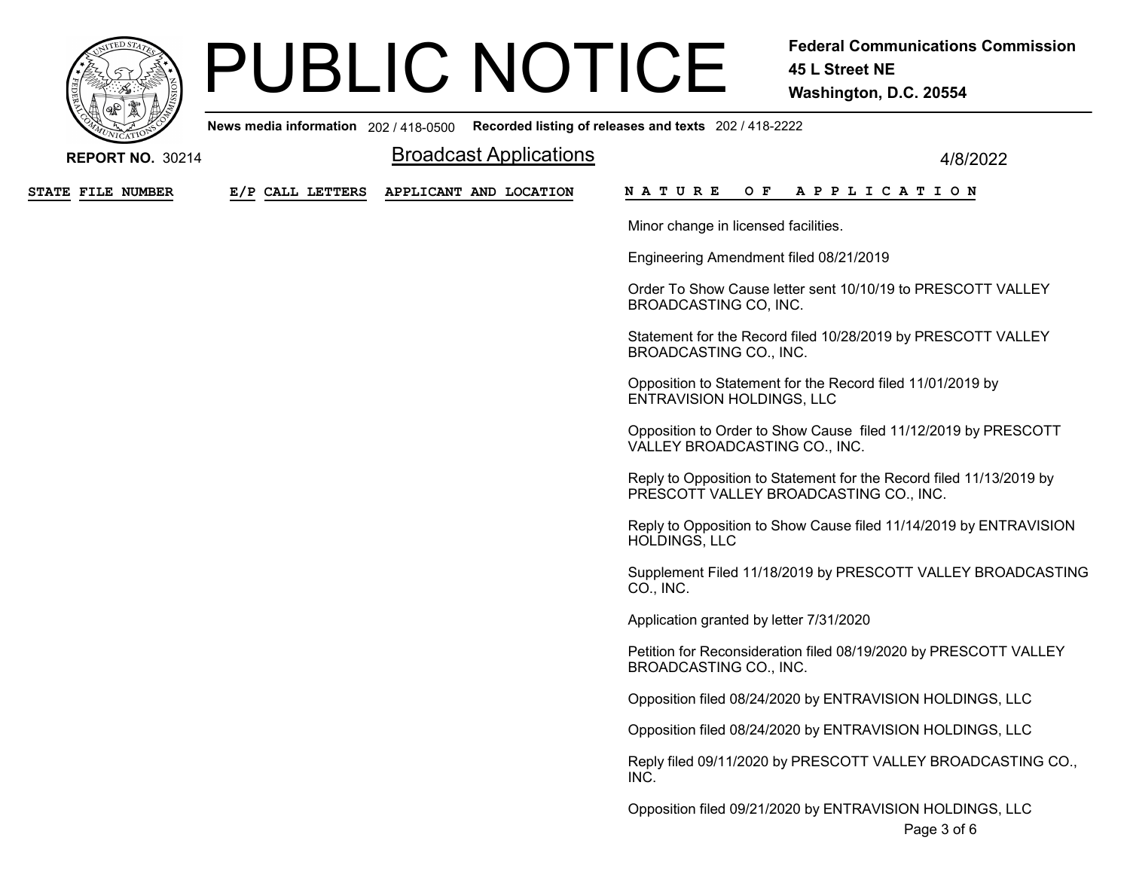

## PUBLIC NOTICE Federal Communications Commission

45 L Street NE Washington, D.C. 20554

News media information 202 / 418-0500 Recorded listing of releases and texts 202 / 418-2222

| <b>REPORT NO. 30214</b>  |                  | <b>Broadcast Applications</b> | 4/8/2022                                                                                                      |
|--------------------------|------------------|-------------------------------|---------------------------------------------------------------------------------------------------------------|
| <b>STATE FILE NUMBER</b> | E/P CALL LETTERS | APPLICANT AND LOCATION        | N A T U R E<br>O F<br>A P P L I C A T I O N                                                                   |
|                          |                  |                               | Minor change in licensed facilities.                                                                          |
|                          |                  |                               | Engineering Amendment filed 08/21/2019                                                                        |
|                          |                  |                               | Order To Show Cause letter sent 10/10/19 to PRESCOTT VALLEY<br>BROADCASTING CO, INC.                          |
|                          |                  |                               | Statement for the Record filed 10/28/2019 by PRESCOTT VALLEY<br>BROADCASTING CO., INC.                        |
|                          |                  |                               | Opposition to Statement for the Record filed 11/01/2019 by<br><b>ENTRAVISION HOLDINGS, LLC</b>                |
|                          |                  |                               | Opposition to Order to Show Cause filed 11/12/2019 by PRESCOTT<br>VALLEY BROADCASTING CO., INC.               |
|                          |                  |                               | Reply to Opposition to Statement for the Record filed 11/13/2019 by<br>PRESCOTT VALLEY BROADCASTING CO., INC. |
|                          |                  |                               | Reply to Opposition to Show Cause filed 11/14/2019 by ENTRAVISION<br><b>HOLDINGS, LLC</b>                     |
|                          |                  |                               | Supplement Filed 11/18/2019 by PRESCOTT VALLEY BROADCASTING<br>CO., INC.                                      |
|                          |                  |                               | Application granted by letter 7/31/2020                                                                       |
|                          |                  |                               | Petition for Reconsideration filed 08/19/2020 by PRESCOTT VALLEY<br>BROADCASTING CO., INC.                    |
|                          |                  |                               | Opposition filed 08/24/2020 by ENTRAVISION HOLDINGS, LLC                                                      |
|                          |                  |                               | Opposition filed 08/24/2020 by ENTRAVISION HOLDINGS, LLC                                                      |
|                          |                  |                               | Reply filed 09/11/2020 by PRESCOTT VALLEY BROADCASTING CO.,<br>INC.                                           |
|                          |                  |                               | Opposition filed 09/21/2020 by ENTRAVISION HOLDINGS, LLC<br>Page 3 of 6                                       |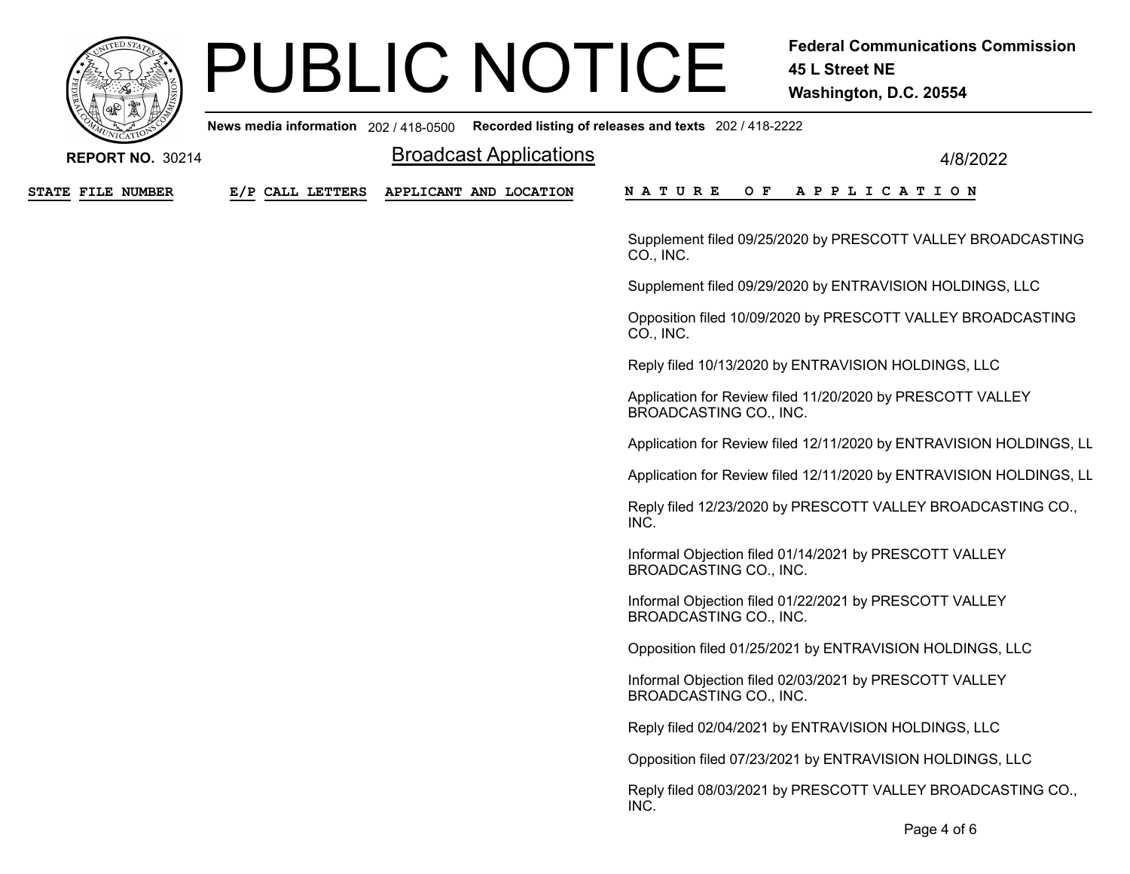

# PUBLIC NOTICE Federal Communications Commission

45 L Street NE Washington, D.C. 20554

|                          |                  | News media information 202 / 418-0500 Recorded listing of releases and texts 202 / 418-2222 |                                                                                         |
|--------------------------|------------------|---------------------------------------------------------------------------------------------|-----------------------------------------------------------------------------------------|
| <b>REPORT NO. 30214</b>  |                  | <b>Broadcast Applications</b>                                                               | 4/8/2022                                                                                |
| <b>STATE FILE NUMBER</b> | E/P CALL LETTERS | APPLICANT AND LOCATION                                                                      | O F<br>N A T U R E<br>A P P L I C A T I O N                                             |
|                          |                  |                                                                                             | Supplement filed 09/25/2020 by PRESCOTT VALLEY BROADCASTING<br>CO., INC.                |
|                          |                  |                                                                                             | Supplement filed 09/29/2020 by ENTRAVISION HOLDINGS, LLC                                |
|                          |                  |                                                                                             | Opposition filed 10/09/2020 by PRESCOTT VALLEY BROADCASTING<br>CO., INC.                |
|                          |                  |                                                                                             | Reply filed 10/13/2020 by ENTRAVISION HOLDINGS, LLC                                     |
|                          |                  |                                                                                             | Application for Review filed 11/20/2020 by PRESCOTT VALLEY<br>BROADCASTING CO., INC.    |
|                          |                  |                                                                                             | Application for Review filed 12/11/2020 by ENTRAVISION HOLDINGS, LL                     |
|                          |                  |                                                                                             | Application for Review filed 12/11/2020 by ENTRAVISION HOLDINGS, LL                     |
|                          |                  |                                                                                             | Reply filed 12/23/2020 by PRESCOTT VALLEY BROADCASTING CO.,<br>INC.                     |
|                          |                  |                                                                                             | Informal Objection filed 01/14/2021 by PRESCOTT VALLEY<br>BROADCASTING CO., INC.        |
|                          |                  |                                                                                             | Informal Objection filed 01/22/2021 by PRESCOTT VALLEY<br><b>BROADCASTING CO., INC.</b> |
|                          |                  |                                                                                             | Opposition filed 01/25/2021 by ENTRAVISION HOLDINGS, LLC                                |
|                          |                  |                                                                                             | Informal Objection filed 02/03/2021 by PRESCOTT VALLEY<br>BROADCASTING CO., INC.        |
|                          |                  |                                                                                             | Reply filed 02/04/2021 by ENTRAVISION HOLDINGS, LLC                                     |
|                          |                  |                                                                                             | Opposition filed 07/23/2021 by ENTRAVISION HOLDINGS, LLC                                |
|                          |                  |                                                                                             | Reply filed 08/03/2021 by PRESCOTT VALLEY BROADCASTING CO.,<br>INC.                     |
|                          |                  |                                                                                             | Page 4 of 6                                                                             |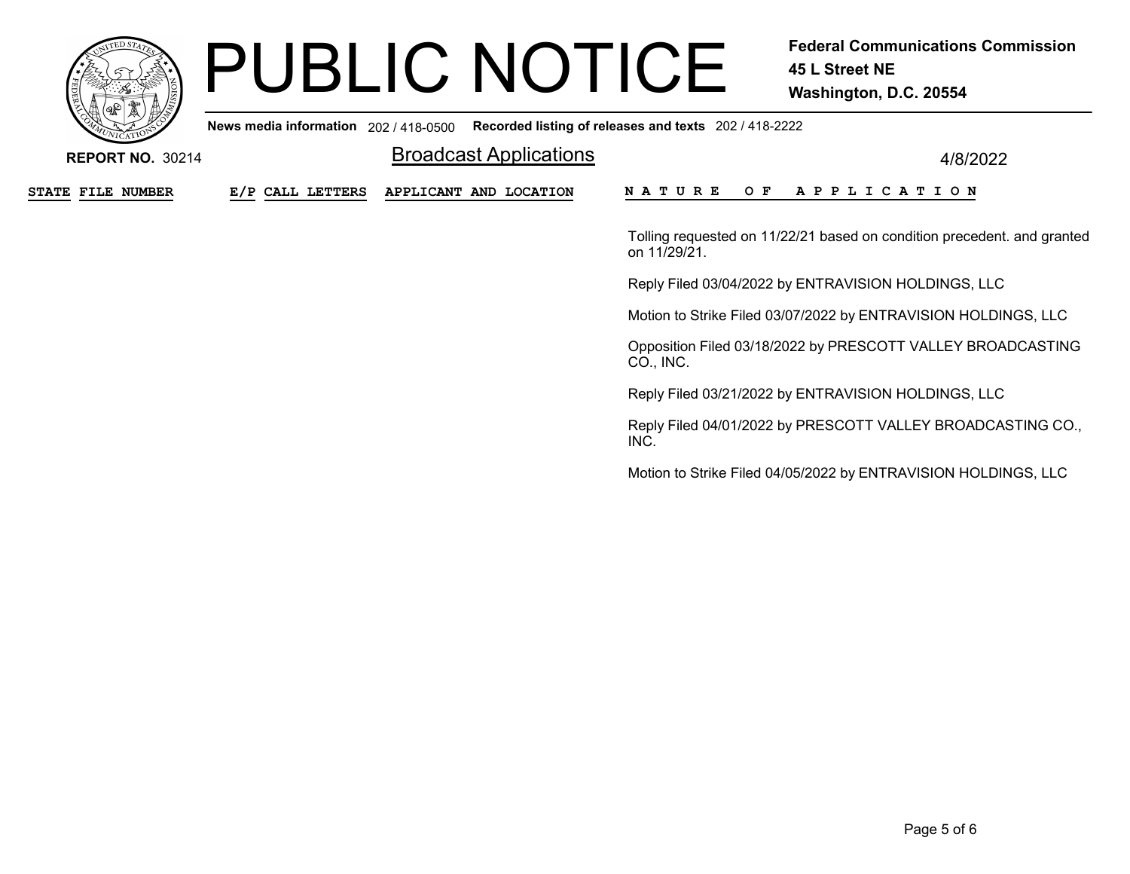

# PUBLIC NOTICE Federal Communications Commission

45 L Street NE Washington, D.C. 20554

News media information 202 / 418-0500 Recorded listing of releases and texts 202 / 418-2222

|                  | <b>Broadcast Applications</b> | 4/8/2022                                                                                |
|------------------|-------------------------------|-----------------------------------------------------------------------------------------|
| E/P CALL LETTERS | APPLICANT AND LOCATION        | <b>NATURE</b><br><b>APPLICATION</b><br>O F                                              |
|                  |                               | Tolling requested on 11/22/21 based on condition precedent. and granted<br>on 11/29/21. |
|                  |                               | Reply Filed 03/04/2022 by ENTRAVISION HOLDINGS, LLC                                     |
|                  |                               | Motion to Strike Filed 03/07/2022 by ENTRAVISION HOLDINGS, LLC                          |
|                  |                               | Opposition Filed 03/18/2022 by PRESCOTT VALLEY BROADCASTING<br>CO., INC.                |
|                  |                               | Reply Filed 03/21/2022 by ENTRAVISION HOLDINGS, LLC                                     |
|                  |                               | Reply Filed 04/01/2022 by PRESCOTT VALLEY BROADCASTING CO.,<br>INC.                     |
|                  |                               | Motion to Strike Filed 04/05/2022 by ENTRAVISION HOLDINGS, LLC                          |
|                  |                               |                                                                                         |